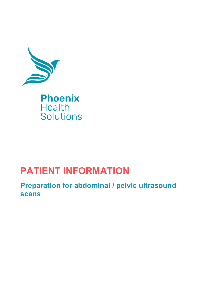

## **PATIENT INFORMATION**

**Preparation for abdominal / pelvic ultrasound scans**